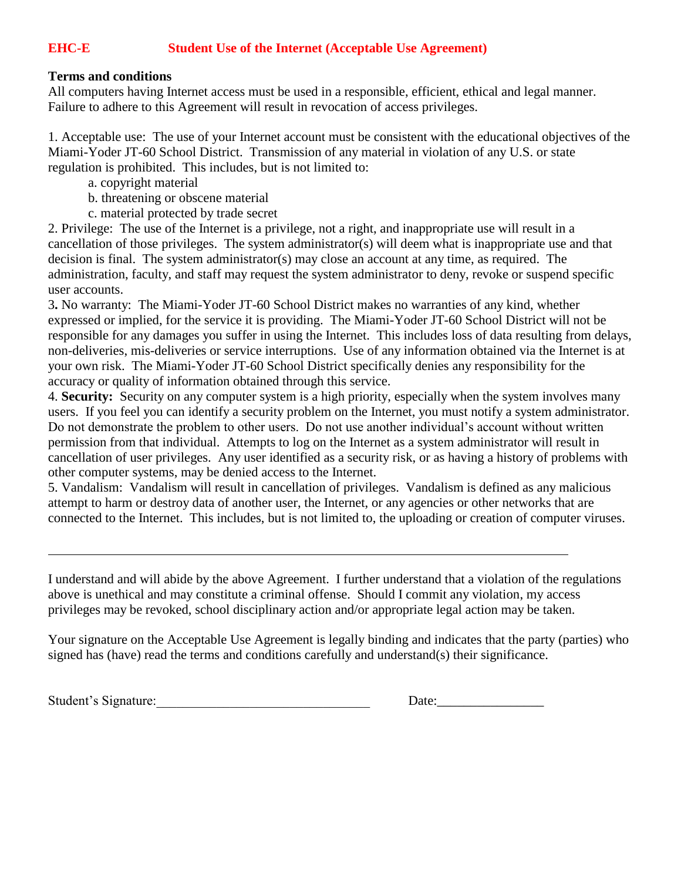## **EHC-E Student Use of the Internet (Acceptable Use Agreement)**

## **Terms and conditions**

All computers having Internet access must be used in a responsible, efficient, ethical and legal manner. Failure to adhere to this Agreement will result in revocation of access privileges.

1. Acceptable use: The use of your Internet account must be consistent with the educational objectives of the Miami-Yoder JT-60 School District. Transmission of any material in violation of any U.S. or state regulation is prohibited. This includes, but is not limited to:

- a. copyright material
- b. threatening or obscene material
- c. material protected by trade secret

2. Privilege: The use of the Internet is a privilege, not a right, and inappropriate use will result in a cancellation of those privileges. The system administrator(s) will deem what is inappropriate use and that decision is final. The system administrator(s) may close an account at any time, as required. The administration, faculty, and staff may request the system administrator to deny, revoke or suspend specific user accounts.

3**.** No warranty: The Miami-Yoder JT-60 School District makes no warranties of any kind, whether expressed or implied, for the service it is providing. The Miami-Yoder JT-60 School District will not be responsible for any damages you suffer in using the Internet. This includes loss of data resulting from delays, non-deliveries, mis-deliveries or service interruptions. Use of any information obtained via the Internet is at your own risk. The Miami-Yoder JT-60 School District specifically denies any responsibility for the accuracy or quality of information obtained through this service.

4. **Security:** Security on any computer system is a high priority, especially when the system involves many users. If you feel you can identify a security problem on the Internet, you must notify a system administrator. Do not demonstrate the problem to other users. Do not use another individual's account without written permission from that individual. Attempts to log on the Internet as a system administrator will result in cancellation of user privileges. Any user identified as a security risk, or as having a history of problems with other computer systems, may be denied access to the Internet.

5. Vandalism: Vandalism will result in cancellation of privileges. Vandalism is defined as any malicious attempt to harm or destroy data of another user, the Internet, or any agencies or other networks that are connected to the Internet. This includes, but is not limited to, the uploading or creation of computer viruses.

I understand and will abide by the above Agreement. I further understand that a violation of the regulations above is unethical and may constitute a criminal offense. Should I commit any violation, my access privileges may be revoked, school disciplinary action and/or appropriate legal action may be taken.

Your signature on the Acceptable Use Agreement is legally binding and indicates that the party (parties) who signed has (have) read the terms and conditions carefully and understand(s) their significance.

Student's Signature:

| Date: |
|-------|
|-------|